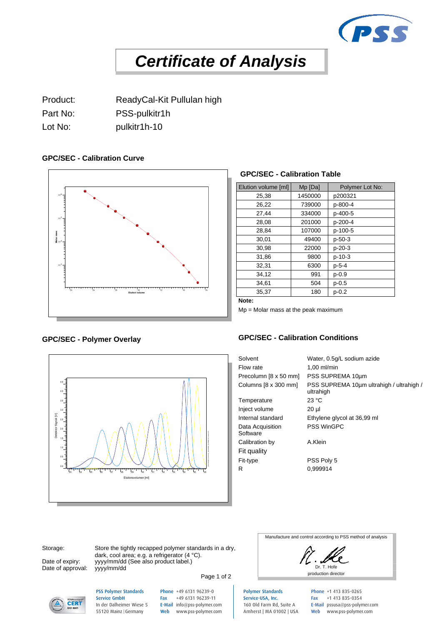

# *Certificate of Analysis*

Product: ReadyCal-Kit Pullulan high Part No: PSS-pulkitr1h Lot No: bulkitr1h-10

### **GPC/SEC - Calibration Curve**



### **GPC/SEC - Calibration Table**

| Elution volume [ml] | Mp [Da] | Polymer Lot No: |
|---------------------|---------|-----------------|
| 25,38               | 1450000 | p200321         |
| 26,22               | 739000  | p-800-4         |
| 27,44               | 334000  | p-400-5         |
| 28,08               | 201000  | p-200-4         |
| 28,84               | 107000  | p-100-5         |
| 30,01               | 49400   | $p - 50 - 3$    |
| 30,98               | 22000   | $p-20-3$        |
| 31,86               | 9800    | $p-10-3$        |
| 32,31               | 6300    | $p - 5 - 4$     |
| 34,12               | 991     | $p - 0.9$       |
| 34.61               | 504     | $p - 0.5$       |
| 35,37               | 180     | $p - 0.2$       |

**Note:**

Mp = Molar mass at the peak maximum

## **GPC/SEC - Polymer Overlay**



PSS Polymer Standards Service GmbH In der Dalheimer Wiese 5 55120 Mainz |Germany

#### **GPC/SEC - Calibration Conditions**

Solvent Water, 0.5g/L sodium azide Flow rate 1,00 ml/min Precolumn [8 x 50 mm] PSS SUPREMA 10µm Columns [8 x 300 mm] PSS SUPREMA 10µm ultrahigh / ultrahigh / ultrahigh Temperature 23 °C Inject volume 20 µl Internal standard Ethylene glycol at 36,99 ml Data Acquisition **Software** PSS WinGPC Calibration by A.Klein Fit quality Fit-type PSS Poly 5 R 0,999914

Date of approval: yyyy/mm/dd

**CERT** 

Storage: Store the tightly recapped polymer standards in a dry, dark, cool area; e.g. a refrigerator (4 °C). Date of expiry: yyyy/mm/dd (See also product label.)

> Phone +49 6131 96239-0 Fax +49 6131 96239-11 E-Mail info@pss-polymer.com Web www.pss-polymer.com



Dr. T. Hofe Page 1 of 2

Polymer Standards Service-USA, Inc. 160 Old Farm Rd, Suite A Amherst | MA 01002 | USA Phone +1 413 835-0265 Fax +1 413 835-0354 E-Mail pssusa@pss-polymer.com Web www.pss-polymer.com